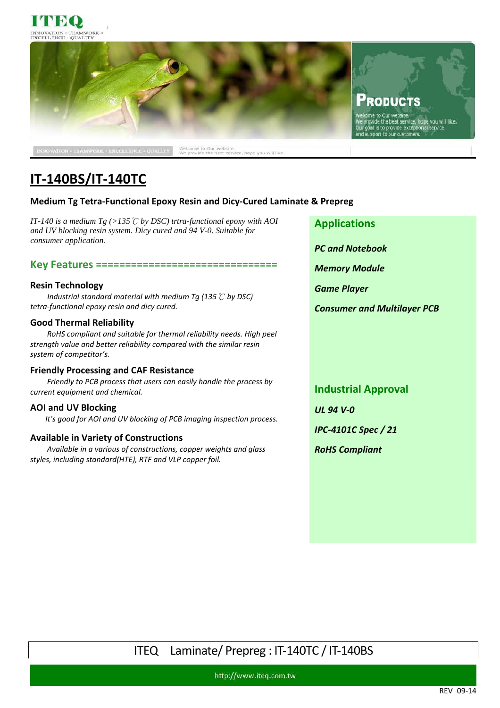



# **IT-140BS/IT-140TC**

### **Medium Tg Tetra-Functional Epoxy Resin and Dicy-Cured Laminate & Prepreg**

*IT-140 is a medium Tg (>135*℃ *by DSC) trtra-functional epoxy with AOI and UV blocking resin system. Dicy cured and 94 V-0. Suitable for consumer application.*

#### **Key Features ===============================**

#### **Resin Technology**

 *Industrial standard material with medium Tg (135*℃ *by DSC) tetra-functional epoxy resin and dicy cured.* 

#### **Good Thermal Reliability**

*RoHS compliant and suitable for thermal reliability needs. High peel strength value and better reliability compared with the similar resin system of competitor's.* 

#### **Friendly Processing and CAF Resistance**

*Friendly to PCB process that users can easily handle the process by current equipment and chemical.* 

#### **AOI and UV Blocking**

*It's good for AOI and UV blocking of PCB imaging inspection process.* 

#### **Available in Variety of Constructions**

*Available in a various of constructions, copper weights and glass styles, including standard(HTE), RTF and VLP copper foil.* 

**Applications** 

*PC and Notebook* 

*Memory Module* 

*Game Player* 

*Consumer and Multilayer PCB* 

**Industrial Approval** 

*UL 94 V-0* 

*IPC-4101C Spec / 21* 

*RoHS Compliant* 

## ITEQ Laminate/ Prepreg : IT-140TC / IT-140BS

http://www.iteq.com.tw